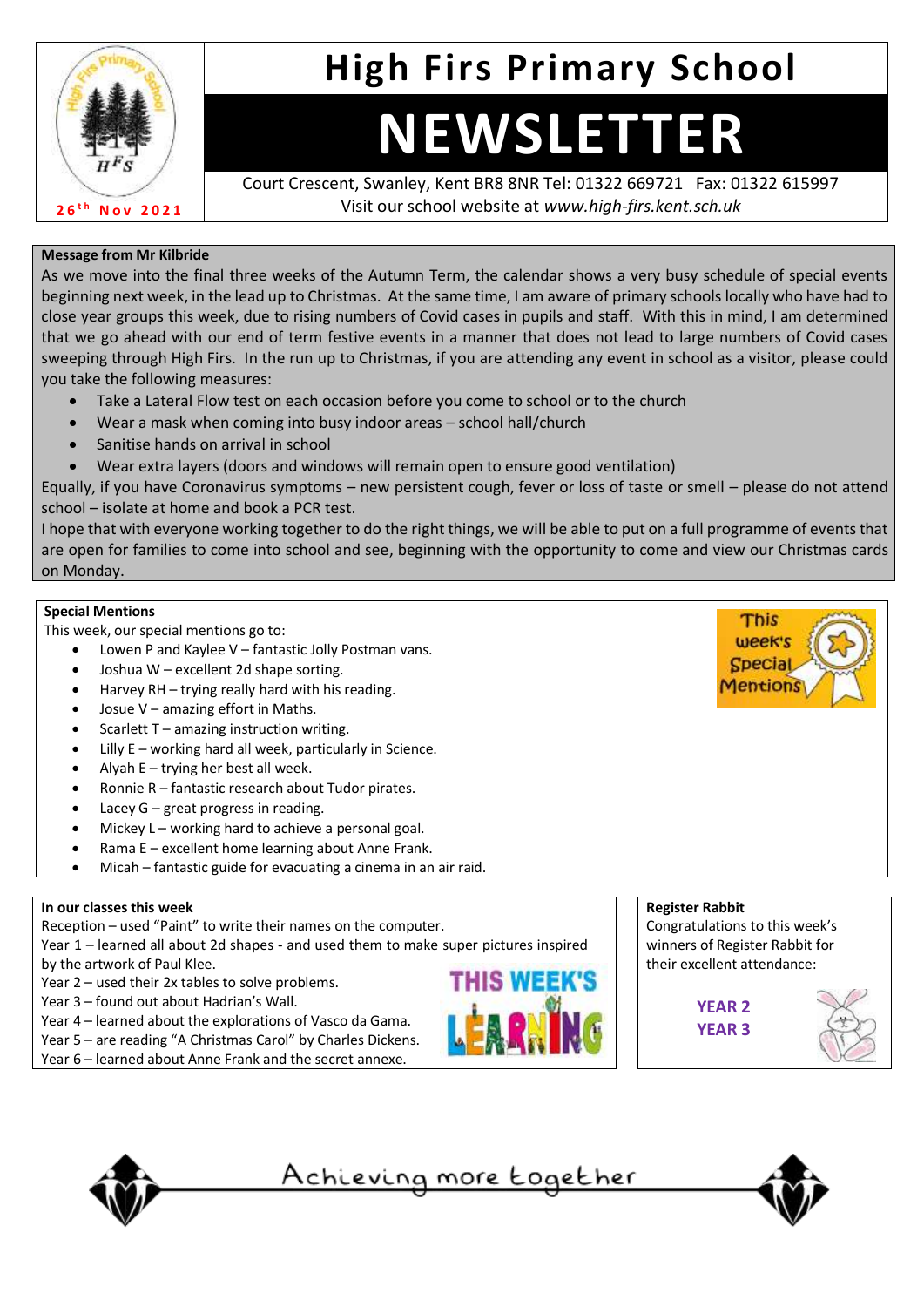

## **High Firs Primary School**

# **NEWSLETTER**

Court Crescent, Swanley, Kent BR8 8NR Tel: 01322 669721 Fax: 01322 615997 Visit our school website at *www.high-firs.kent.sch.uk*

### **Message from Mr Kilbride**

As we move into the final three weeks of the Autumn Term, the calendar shows a very busy schedule of special events beginning next week, in the lead up to Christmas. At the same time, I am aware of primary schools locally who have had to close year groups this week, due to rising numbers of Covid cases in pupils and staff. With this in mind, I am determined that we go ahead with our end of term festive events in a manner that does not lead to large numbers of Covid cases sweeping through High Firs. In the run up to Christmas, if you are attending any event in school as a visitor, please could you take the following measures:

- Take a Lateral Flow test on each occasion before you come to school or to the church
- Wear a mask when coming into busy indoor areas school hall/church
- Sanitise hands on arrival in school
- Wear extra layers (doors and windows will remain open to ensure good ventilation)

Equally, if you have Coronavirus symptoms – new persistent cough, fever or loss of taste or smell – please do not attend school – isolate at home and book a PCR test.

I hope that with everyone working together to do the right things, we will be able to put on a full programme of events that are open for families to come into school and see, beginning with the opportunity to come and view our Christmas cards on Monday.

### **Special Mentions**

This week, our special mentions go to:

- Lowen P and Kaylee V fantastic Jolly Postman vans.
- Joshua W excellent 2d shape sorting.
- Harvey RH trying really hard with his reading.
- Josue  $V$  amazing effort in Maths.
- Scarlett  $T$  amazing instruction writing.
- Lilly  $E$  working hard all week, particularly in Science.
- Alyah  $E trying$  her best all week.
- Ronnie R fantastic research about Tudor pirates.
- Lacey  $G$  great progress in reading.
- Mickey  $L$  working hard to achieve a personal goal.
- Rama E excellent home learning about Anne Frank.
- Micah fantastic guide for evacuating a cinema in an air raid.

### **In our classes this week**

Reception – used "Paint" to write their names on the computer.

Year 1 – learned all about 2d shapes - and used them to make super pictures inspired by the artwork of Paul Klee.

- Year 2 used their 2x tables to solve problems.
- Year 3 found out about Hadrian's Wall.
- Year 4 learned about the explorations of Vasco da Gama.
- Year 5 are reading "A Christmas Carol" by Charles Dickens.
- Year 6 learned about Anne Frank and the secret annexe.





This



Congratulations to this week's winners of Register Rabbit for their excellent attendance:







<u>Achieving more together</u>

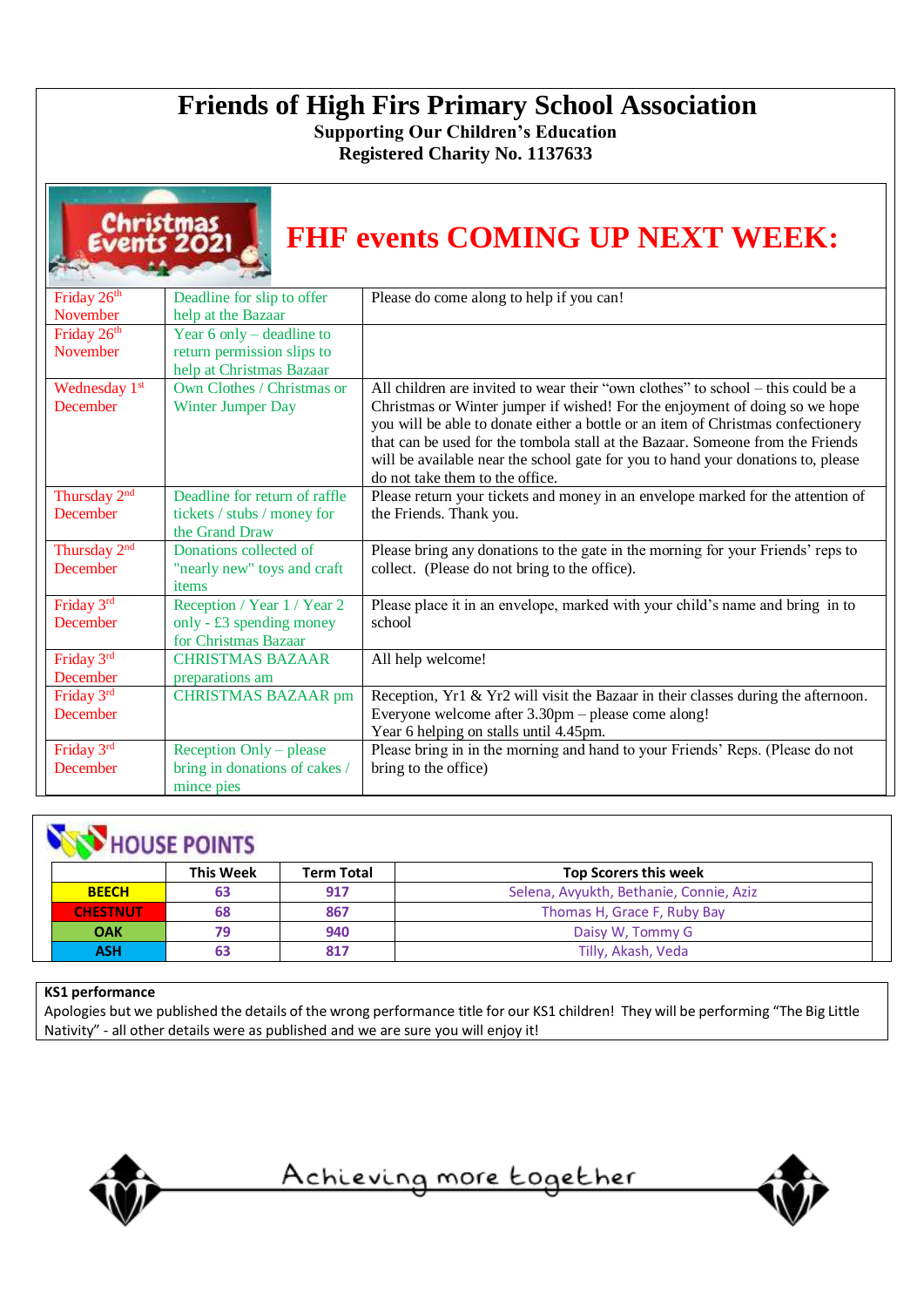### **Friends of High Firs Primary School Association**

**Supporting Our Children's Education Registered Charity No. 1137633**

|                                             | ıstmas                                                                                | <b>FHF events COMING UP NEXT WEEK:</b>                                                                                                                                                                                                                                                                                                                                                                                                                       |
|---------------------------------------------|---------------------------------------------------------------------------------------|--------------------------------------------------------------------------------------------------------------------------------------------------------------------------------------------------------------------------------------------------------------------------------------------------------------------------------------------------------------------------------------------------------------------------------------------------------------|
| Friday 26 <sup>th</sup><br>November         | Deadline for slip to offer<br>help at the Bazaar                                      | Please do come along to help if you can!                                                                                                                                                                                                                                                                                                                                                                                                                     |
| Friday 26 <sup>th</sup><br>November         | Year $6$ only – deadline to<br>return permission slips to<br>help at Christmas Bazaar |                                                                                                                                                                                                                                                                                                                                                                                                                                                              |
| Wednesday 1st<br>December                   | Own Clothes / Christmas or<br>Winter Jumper Day                                       | All children are invited to wear their "own clothes" to school – this could be a<br>Christmas or Winter jumper if wished! For the enjoyment of doing so we hope<br>you will be able to donate either a bottle or an item of Christmas confectionery<br>that can be used for the tombola stall at the Bazaar. Someone from the Friends<br>will be available near the school gate for you to hand your donations to, please<br>do not take them to the office. |
| Thursday 2 <sup>nd</sup><br>December        | Deadline for return of raffle<br>tickets / stubs / money for<br>the Grand Draw        | Please return your tickets and money in an envelope marked for the attention of<br>the Friends. Thank you.                                                                                                                                                                                                                                                                                                                                                   |
| Thursday 2 <sup>nd</sup><br><b>December</b> | Donations collected of<br>"nearly new" toys and craft<br>items                        | Please bring any donations to the gate in the morning for your Friends' reps to<br>collect. (Please do not bring to the office).                                                                                                                                                                                                                                                                                                                             |
| Friday 3rd<br>December                      | Reception / Year 1 / Year 2<br>only - £3 spending money<br>for Christmas Bazaar       | Please place it in an envelope, marked with your child's name and bring in to<br>school                                                                                                                                                                                                                                                                                                                                                                      |
| Friday 3rd<br>December                      | <b>CHRISTMAS BAZAAR</b><br>preparations am                                            | All help welcome!                                                                                                                                                                                                                                                                                                                                                                                                                                            |
| Friday 3rd<br>December                      | <b>CHRISTMAS BAZAAR pm</b>                                                            | Reception, Yr1 & Yr2 will visit the Bazaar in their classes during the afternoon.<br>Everyone welcome after 3.30pm - please come along!<br>Year 6 helping on stalls until 4.45pm.                                                                                                                                                                                                                                                                            |
| Friday 3rd<br>December                      | Reception Only – please<br>bring in donations of cakes /<br>mince pies                | Please bring in in the morning and hand to your Friends' Reps. (Please do not<br>bring to the office)                                                                                                                                                                                                                                                                                                                                                        |

### **NEW HOUSE POINTS**

|                 | <b>This Week</b> | <b>Term Total</b>           | <b>Top Scorers this week</b>            |  |  |  |  |
|-----------------|------------------|-----------------------------|-----------------------------------------|--|--|--|--|
| <b>BEECH</b>    | 63               | 917                         | Selena, Avyukth, Bethanie, Connie, Aziz |  |  |  |  |
| <b>CHESTNUT</b> | 68               | Thomas H, Grace F, Ruby Bay |                                         |  |  |  |  |
| <b>OAK</b>      | 79               | 940                         | Daisy W, Tommy G                        |  |  |  |  |
| <b>ASH</b>      | 63               | 817                         | Tilly, Akash, Veda                      |  |  |  |  |

### **KS1 performance**

Apologies but we published the details of the wrong performance title for our KS1 children! They will be performing "The Big Little Nativity" - all other details were as published and we are sure you will enjoy it!



Achieving more together

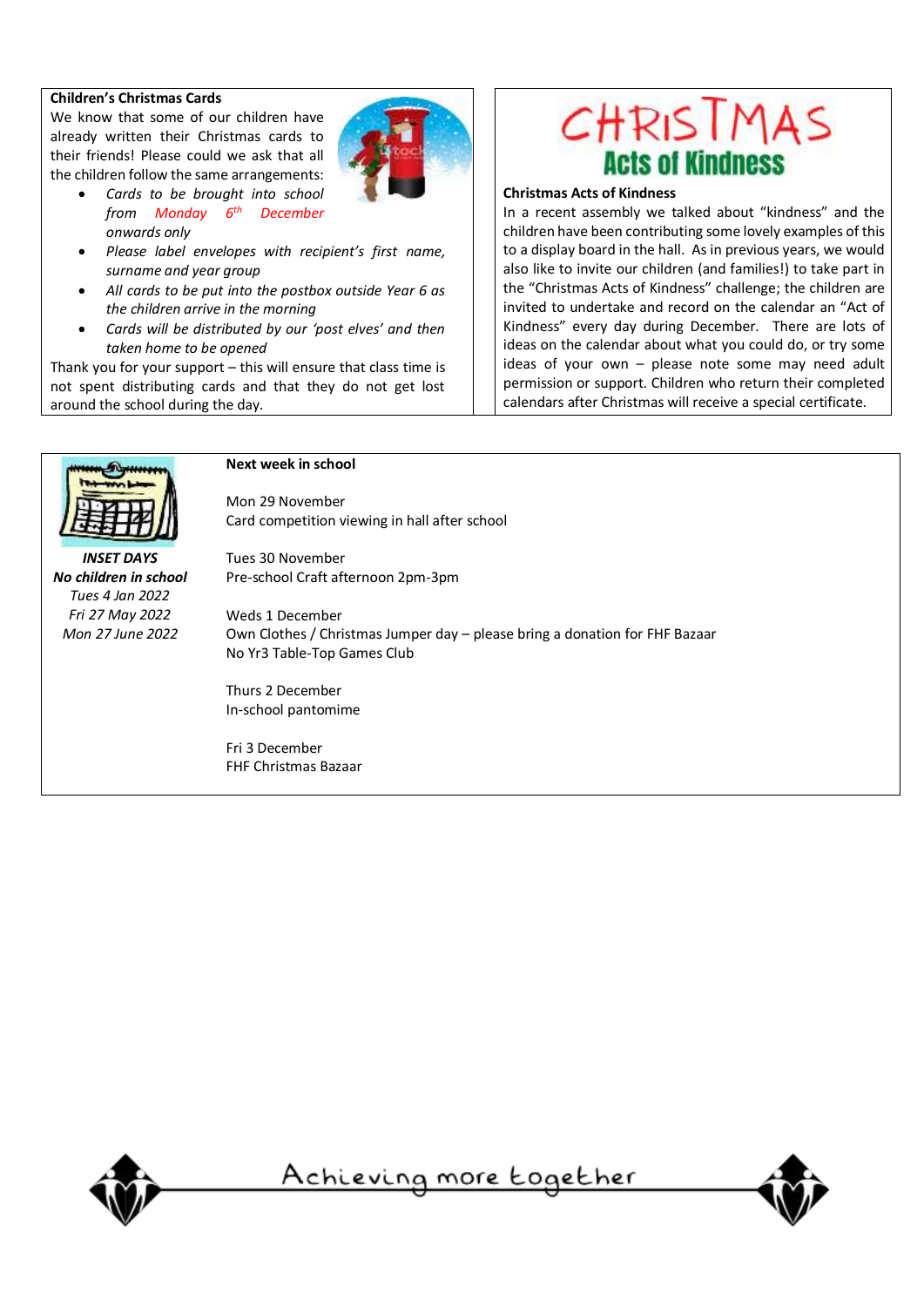#### **Children's Christmas Cards**

We know that some of our children have already written their Christmas cards to their friends! Please could we ask that all the children follow the same arrangements:



- *Cards to be brought into school from Monday 6th December onwards only*
- *Please label envelopes with recipient's first name, surname and year group*
- *All cards to be put into the postbox outside Year 6 as the children arrive in the morning*
- *Cards will be distributed by our 'post elves' and then taken home to be opened*

Thank you for your support – this will ensure that class time is not spent distributing cards and that they do not get lost around the school during the day.



### **Christmas Acts of Kindness**

In a recent assembly we talked about "kindness" and the children have been contributing some lovely examples of this to a display board in the hall. As in previous years, we would also like to invite our children (and families!) to take part in the "Christmas Acts of Kindness" challenge; the children are invited to undertake and record on the calendar an "Act of Kindness" every day during December. There are lots of ideas on the calendar about what you could do, or try some ideas of your own – please note some may need adult permission or support. Children who return their completed calendars after Christmas will receive a special certificate.



#### **Next week in school**

Tues 30 November

Mon 29 November Card competition viewing in hall after school

Pre-school Craft afternoon 2pm-3pm

*INSET DAYS No children in school Tues 4 Jan 2022 Fri 27 May 2022 Mon 27 June 2022*

Weds 1 December Own Clothes / Christmas Jumper day – please bring a donation for FHF Bazaar No Yr3 Table-Top Games Club

Thurs 2 December In-school pantomime

Fri 3 December FHF Christmas Bazaar



<u>Achieving more together</u>

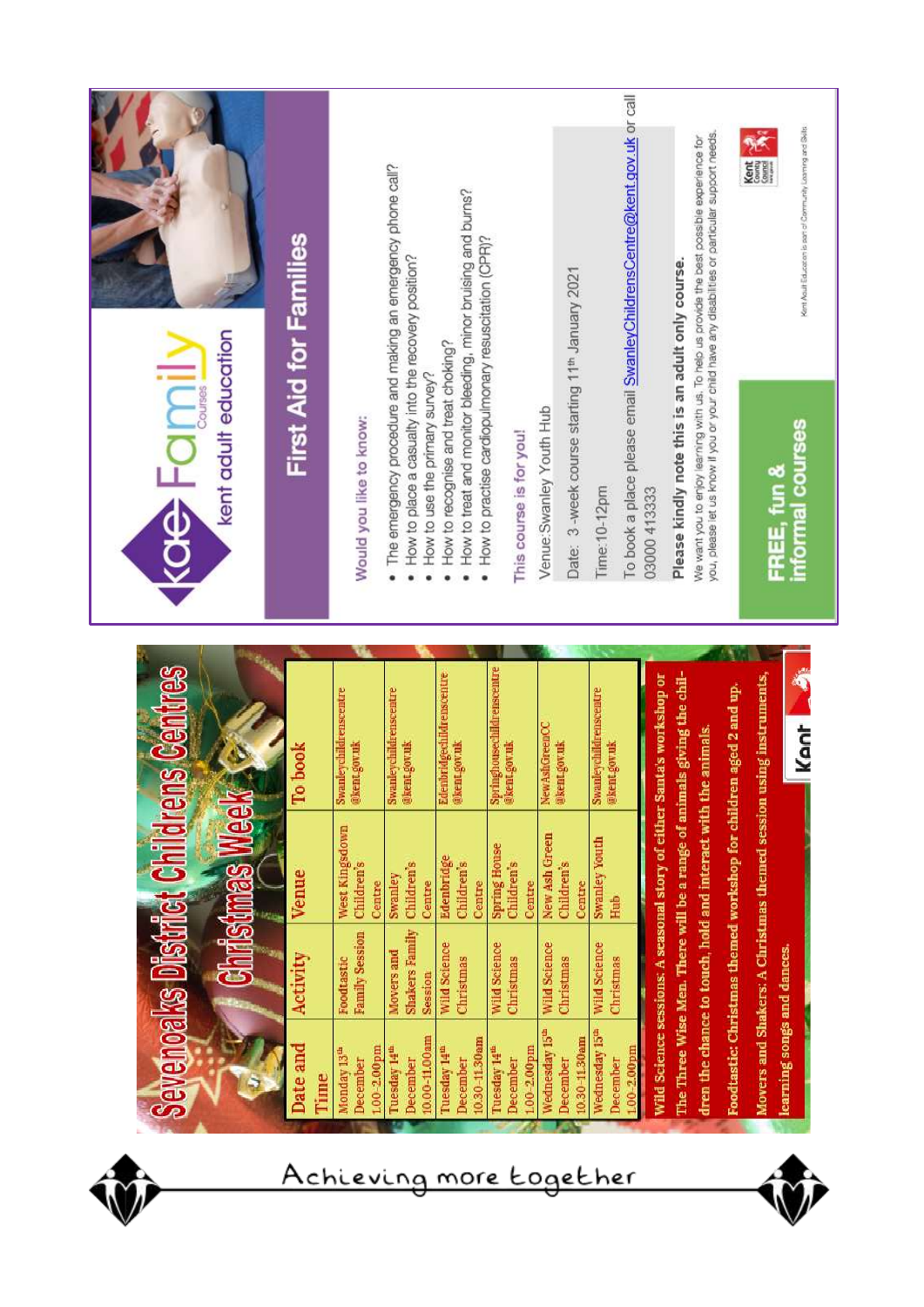|                                                                          | First Aid for Families |                                                         | The emergency procedure and making an emergency phone call?                           | How to treat and monitor bleeding, minor bruising and burns? |                                                                                 |                                                                                         | To book a place please email SwanleyChildrensCentre@kent.gov.uk or call | you, please let us know if you or your child have any disabilities or particular support needs.<br>We want you to enjoy learning with us. To help us provide the best possible experience for<br>Kent<br>County                       | Kent Adult Education is part of Community Learning and Skills |
|--------------------------------------------------------------------------|------------------------|---------------------------------------------------------|---------------------------------------------------------------------------------------|--------------------------------------------------------------|---------------------------------------------------------------------------------|-----------------------------------------------------------------------------------------|-------------------------------------------------------------------------|---------------------------------------------------------------------------------------------------------------------------------------------------------------------------------------------------------------------------------------|---------------------------------------------------------------|
| kent adult education<br><b>IUD-195</b>                                   |                        | Would you like to know:                                 | How to place a casually into the recovery position?<br>How to use the primary survey? | How to recognise and treat choking?                          | How to practise cardiopulmonary resuscitation (CPR)?<br>This course is for you! | Date: 3 -week course starting 11 <sup>th</sup> January 2021<br>Venue: Swanley Youth Hub | Time: 10-12pm                                                           | Please kindly note this is an adult only course.<br>03000 413333                                                                                                                                                                      | informal courses<br>FREE, fun &                               |
| هج<br>ڪ                                                                  | book<br>Fo             | Swanleychildrenscentre<br>@kent.gov.uk                  | Swanleychildrenscentre<br>@kent.gov.uk                                                | Edenbridgechildrenscentre<br>@kent gov.uk                    | Springhousechildrenscentre<br>@kent.gov.uk                                      | NewAshGreenCC<br>@kent.gov.uk                                                           | Swanleychildrenscentre<br>@kent gov.uk                                  | s giving the chil-<br>Movers and Shakers: A Christmas themed session using instruments,<br>Wild Science sessions: A seasonal story of either Santa's workshop or<br>Foodtastic: Christmas themed workshop for children aged 2 and up. | Ą<br><b>Kent</b>                                              |
| <b>Sevenoaks District Childrens</b><br><b>XeeM ssuns</b><br><b>VCION</b> | <b>Venue</b>           | West Kingsdown<br><b>Children's</b><br>Centre           | <b>Children's</b><br>Swanley<br>Centre                                                | Edenbridge<br><b>Children's</b><br>Centre                    | <b>Spring House</b><br><b>Children's</b><br>Centre                              | New Ash Green<br>Children's<br>Centre                                                   | <b>Swanley Youth</b><br>Hub                                             | dren the chance to touch, hold and interact with the animals.<br>The Three Wise Men. There will be a range of animal                                                                                                                  |                                                               |
| ติกท์                                                                    | Activity               | <b>Family Session</b><br>Foodtastic                     | <b>Shakers Family</b><br>Movers and<br>Session                                        | Wild Science<br>Christmas                                    | <b>Wild Science</b><br>Christmas                                                | <b>Wild Science</b><br>Christmas                                                        | Wild Science<br>Christmas                                               |                                                                                                                                                                                                                                       |                                                               |
|                                                                          | Date and<br>Time       | $1.00 - 2.00$ pm<br>Monday 13 <sup>th</sup><br>December | 10.00-11.00am<br>Tuesday 14 <sup>th</sup><br>December                                 | 10.30-11.30am<br>Tuesday 14 <sup>th</sup><br>December        | $1.00 - 2.00$ pm<br>Tuesday 14 <sup>th</sup><br>December                        | Wednesday 15 <sup>th</sup><br>10.30-11.30am<br>December                                 | Nednesday 15 <sup>th</sup><br>$100 - 2.00$ pm<br>December               |                                                                                                                                                                                                                                       | learning songs and dances.                                    |

Achieving more together

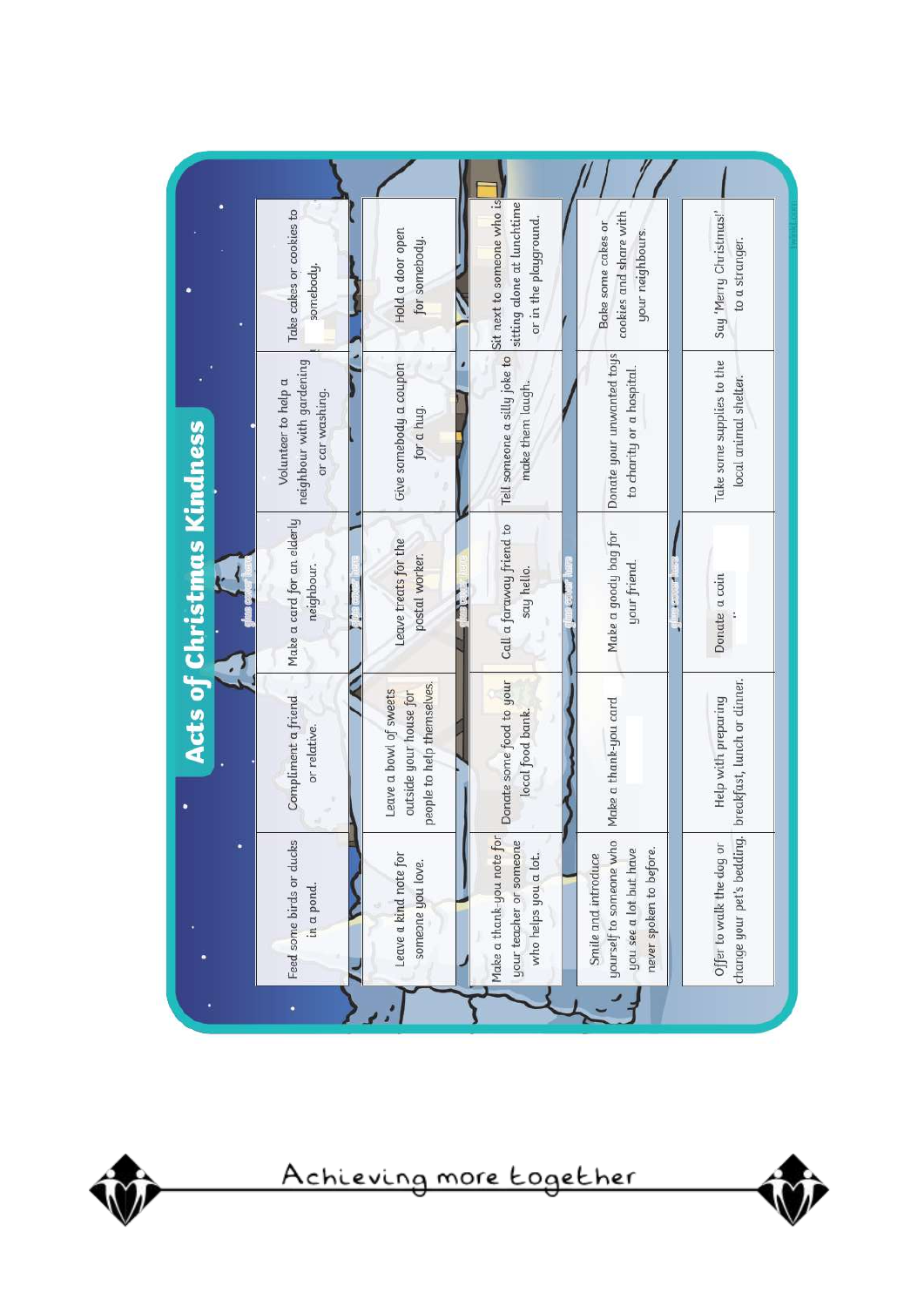|                            | Take cakes or cookies to<br>somebody.                              | Hold a door open<br>for somebody.                                              | Sit next to someone who is<br>sitting alone at lunchtime<br>or in the playground. | cookies and share with<br>Bake some cakes or<br>your neighbours.                                    | Say 'Merry Christmas!'<br>to a stranger.           |
|----------------------------|--------------------------------------------------------------------|--------------------------------------------------------------------------------|-----------------------------------------------------------------------------------|-----------------------------------------------------------------------------------------------------|----------------------------------------------------|
|                            | neighbour with gardening<br>Volunteer to help a<br>or car washing. | Give somebody a coupon<br>for a hug.                                           | Tell someone a silly joke to<br>make them laugh.                                  | Donate your unwanted toys<br>to charity or a hospital.                                              | Take some supplies to the<br>local animal shelter. |
| Acts of Christmas Kindness | Make a card for an elderly<br>neighbour.                           | Leave treats for the<br>postal worker.                                         | Call a faraway friend to<br>say hello.                                            | Make a goody bag for<br>your friend.                                                                | Donate a coin                                      |
|                            | Compliment a friend<br>or relative.                                | people to help themselves.<br>Leave a bowl of sweets<br>outside your house for | Donate some food to your<br>local food bank.                                      | Make a thank-you card                                                                               | Help with preparing                                |
|                            | Feed some birds or ducks<br>in a pond.                             | Leave a kind note for<br>someone you love.                                     | Make a thank-you note for<br>your teacher or someone<br>who helps you a lot.      | yourself to someone who<br>you see a lot but have<br>never spoken to before.<br>Smile and introduce | Offer to walk the dog or                           |



Achieving more together